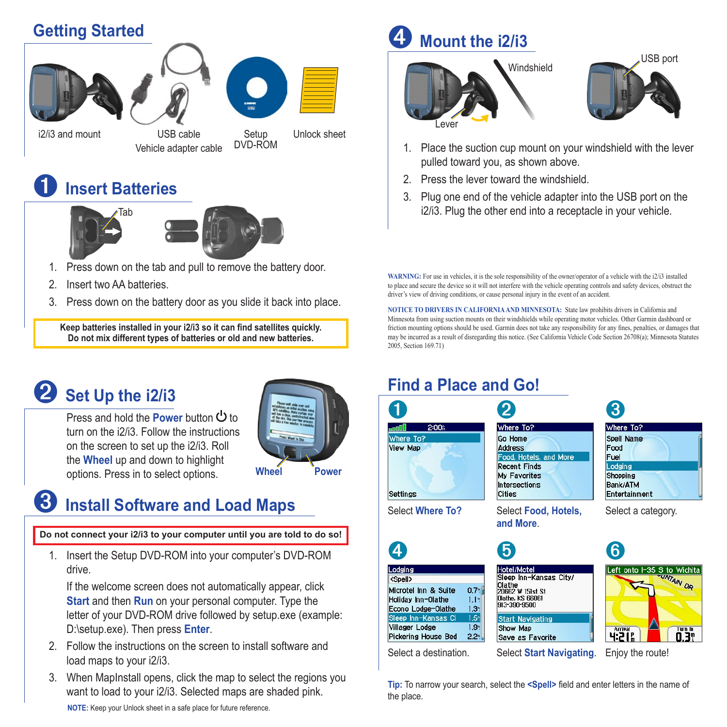#### **Getting Started**







i2/i3 and mount

USB cable Unlock sheet Vehicle adapter cable

Setup DVD-ROM

## ➊ **Insert Batteries**





- 1. Press down on the tab and pull to remove the battery door.
- 2. Insert two AA batteries.
- 3. Press down on the battery door as you slide it back into place.

**Keep batteries installed in your i2/i3 so it can find satellites quickly. Do not mix different types of batteries or old and new batteries.**

## ➋ **Set Up the i2/i3**

Press and hold the **Power** button **b** to turn on the i2/i3. Follow the instructions on the screen to set up the i2/i3. Roll the **Wheel** up and down to highlight options. Press in to select options.



## ➌ **Install Software and Load Maps**

**Do not connect your i2/i3 to your computer until you are told to do so!**

1. Insert the Setup DVD-ROM into your computer's DVD-ROM drive.

 If the welcome screen does not automatically appear, click **Start** and then **Run** on your personal computer. Type the letter of your DVD-ROM drive followed by setup.exe (example: D:\setup.exe). Then press **Enter**.

- 2. Follow the instructions on the screen to install software and load maps to your i2/i3.
- 3. When MapInstall opens, click the map to select the regions you want to load to your i2/i3. Selected maps are shaded pink. **NOTE:** Keep your Unlock sheet in a safe place for future reference.

## ➍ **Mount the i2/i3**





- 1. Place the suction cup mount on your windshield with the lever pulled toward you, as shown above.
- 2. Press the lever toward the windshield.
- 3. Plug one end of the vehicle adapter into the USB port on the i2/i3. Plug the other end into a receptacle in your vehicle.

**WARNING:** For use in vehicles, it is the sole responsibility of the owner/operator of a vehicle with the i2/i3 installed to place and secure the device so it will not interfere with the vehicle operating controls and safety devices, obstruct the driver's view of driving conditions, or cause personal injury in the event of an accident.

**NOTICE TO DRIVERS IN CALIFORNIA AND MINNESOTA:** State law prohibits drivers in California and Minnesota from using suction mounts on their windshields while operating motor vehicles. Other Garmin dashboard or friction mounting options should be used. Garmin does not take any responsibility for any fines, penalties, or damages that may be incurred as a result of disregarding this notice. (See California Vehicle Code Section 26708(a); Minnesota Statutes 2005, Section 169.71)

#### **Find a Place and Go!**

|                                                                                                                                                                                                                                  |                                                                                                                                     | 3                                                                                     |
|----------------------------------------------------------------------------------------------------------------------------------------------------------------------------------------------------------------------------------|-------------------------------------------------------------------------------------------------------------------------------------|---------------------------------------------------------------------------------------|
| 2:00 <sub>h</sub><br><b>social</b>                                                                                                                                                                                               | Where To?                                                                                                                           | Where To?                                                                             |
| Where To?<br><b>View Map</b><br>Settings                                                                                                                                                                                         | Go Home<br><b>Address</b><br>Food, Hotels, and More<br><b>Recent Finds</b><br><b>My Favorites</b><br>Intersections<br><b>Cities</b> | Spell Name<br>Food<br>Fuel<br>Lodging<br><b>Shopping</b><br>Bank/ATM<br>Entertainment |
|                                                                                                                                                                                                                                  |                                                                                                                                     |                                                                                       |
| Select Where To?                                                                                                                                                                                                                 | Select Food, Hotels,<br>and More.                                                                                                   | Select a category.                                                                    |
|                                                                                                                                                                                                                                  | Hotel/Motel                                                                                                                         | 6<br>Left onto I-35 S to Wichita                                                      |
| $0.7$ <sup>n</sup><br>$1.1$ .<br>13 <sup>n</sup>                                                                                                                                                                                 | Sleep Inn-Kansas City/<br><b>Olathe</b><br>20662 W 151st St<br>Olathe, KS 66061<br>913-390-9500                                     | <b>SUNTAIN OR</b>                                                                     |
| Lodging<br><spell><br/>Microtel Inn &amp; Suite<br/>Holiday Inn-Olathe<br/>Econo Lodge-Olathe<br/>1.5<br/>Sleep Inn-Kansas Ci<br/>Villager Lodge<br/>1.9<sub>1</sub><br/><b>Pickering House Bed</b><br/><math>22</math>.</spell> | <b>Start Navigating</b><br>Show Map<br>Save as Favorite                                                                             | <b>Arrival</b><br>Turn In<br>0.3°<br>4:21%                                            |

**Tip:** To narrow your search, select the **<Spell>** field and enter letters in the name of the place.